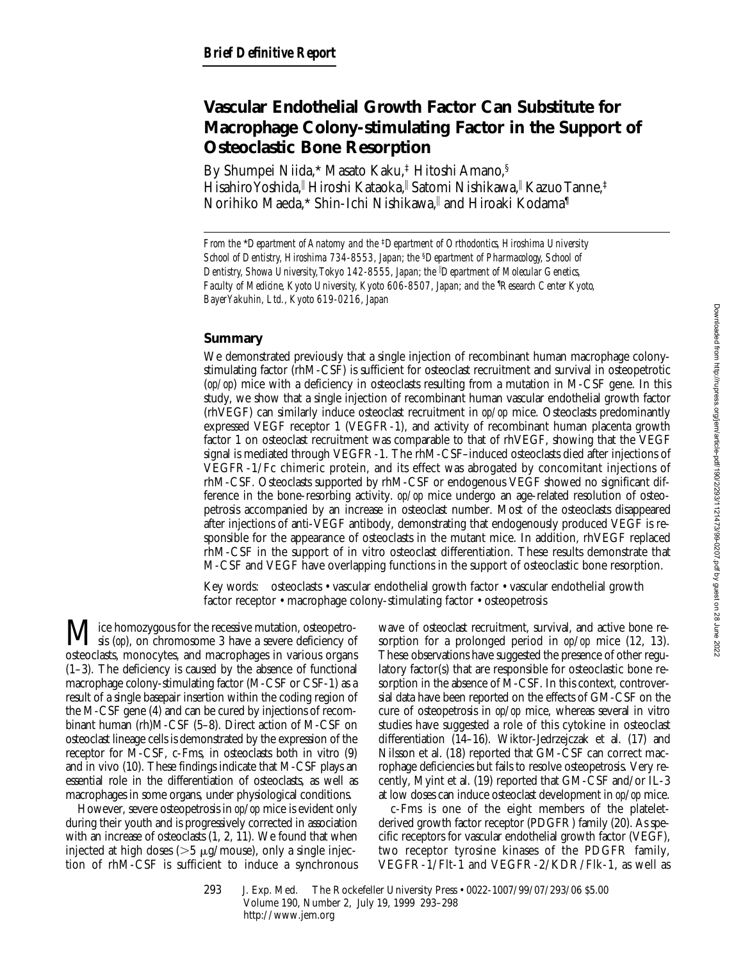# **Vascular Endothelial Growth Factor Can Substitute for Macrophage Colony-stimulating Factor in the Support of Osteoclastic Bone Resorption**

By Shumpei Niida,\* Masato Kaku,‡ Hitoshi Amano,§ Hisahiro Yoshida," Hiroshi Kataoka," Satomi Nishikawa," Kazuo Tanne,‡ Norihiko Maeda,\* Shin-Ichi Nishikawa,|| and Hiroaki Kodama¶

*From the* \**Department of Anatomy and the* ‡*Department of Orthodontics, Hiroshima University School of Dentistry, Hiroshima 734-8553, Japan; the* §*Department of Pharmacology, School of Dentistry, Showa University, Tokyo 142-8555, Japan; the* <sup>i</sup> *Department of Molecular Genetics, Faculty of Medicine, Kyoto University, Kyoto 606-8507, Japan; and the* ¶ *Research Center Kyoto, Bayer Yakuhin, Ltd., Kyoto 619-0216, Japan*

## **Summary**

We demonstrated previously that a single injection of recombinant human macrophage colonystimulating factor (rhM-CSF) is sufficient for osteoclast recruitment and survival in osteopetrotic (*op/op*) mice with a deficiency in osteoclasts resulting from a mutation in M-CSF gene. In this study, we show that a single injection of recombinant human vascular endothelial growth factor (rhVEGF) can similarly induce osteoclast recruitment in *op/op* mice. Osteoclasts predominantly expressed VEGF receptor 1 (VEGFR-1), and activity of recombinant human placenta growth factor 1 on osteoclast recruitment was comparable to that of rhVEGF, showing that the VEGF signal is mediated through VEGFR-1. The rhM-CSF–induced osteoclasts died after injections of VEGFR-1/Fc chimeric protein, and its effect was abrogated by concomitant injections of rhM-CSF. Osteoclasts supported by rhM-CSF or endogenous VEGF showed no significant difference in the bone-resorbing activity. *op/op* mice undergo an age-related resolution of osteopetrosis accompanied by an increase in osteoclast number. Most of the osteoclasts disappeared after injections of anti-VEGF antibody, demonstrating that endogenously produced VEGF is responsible for the appearance of osteoclasts in the mutant mice. In addition, rhVEGF replaced rhM-CSF in the support of in vitro osteoclast differentiation. These results demonstrate that M-CSF and VEGF have overlapping functions in the support of osteoclastic bone resorption.

Key words: osteoclasts • vascular endothelial growth factor • vascular endothelial growth factor receptor • macrophage colony-stimulating factor • osteopetrosis

Mice homozygous for the recessive mutation, osteopetro-<br>sis (*op*), on chromosome 3 have a severe deficiency of osteoclasts, monocytes, and macrophages in various organs (1–3). The deficiency is caused by the absence of functional macrophage colony-stimulating factor (M-CSF or CSF-1) as a result of a single basepair insertion within the coding region of the M-CSF gene (4) and can be cured by injections of recombinant human (rh)M-CSF (5–8). Direct action of M-CSF on osteoclast lineage cells is demonstrated by the expression of the receptor for M-CSF, c-Fms, in osteoclasts both in vitro (9) and in vivo (10). These findings indicate that M-CSF plays an essential role in the differentiation of osteoclasts, as well as macrophages in some organs, under physiological conditions.

However, severe osteopetrosis in *op*/*op* mice is evident only during their youth and is progressively corrected in association with an increase of osteoclasts (1, 2, 11). We found that when injected at high doses ( $>5 \mu$ g/mouse), only a single injection of rhM-CSF is sufficient to induce a synchronous

wave of osteoclast recruitment, survival, and active bone resorption for a prolonged period in *op*/*op* mice (12, 13). These observations have suggested the presence of other regulatory factor(s) that are responsible for osteoclastic bone resorption in the absence of M-CSF. In this context, controversial data have been reported on the effects of GM-CSF on the cure of osteopetrosis in *op*/*op* mice, whereas several in vitro studies have suggested a role of this cytokine in osteoclast differentiation (14–16). Wiktor-Jedrzejczak et al. (17) and Nilsson et al. (18) reported that GM-CSF can correct macrophage deficiencies but fails to resolve osteopetrosis. Very recently, Myint et al. (19) reported that GM-CSF and/or IL-3 at low doses can induce osteoclast development in *op*/*op* mice.

c-Fms is one of the eight members of the plateletderived growth factor receptor (PDGFR) family (20). As specific receptors for vascular endothelial growth factor (VEGF), two receptor tyrosine kinases of the PDGFR family, VEGFR-1/Flt-1 and VEGFR-2/KDR/Flk-1, as well as

<sup>293</sup> J. Exp. Med. © The Rockefeller University Press • 0022-1007/99/07/293/06 \$5.00 Volume 190, Number 2, July 19, 1999 293–298 http://www.jem.org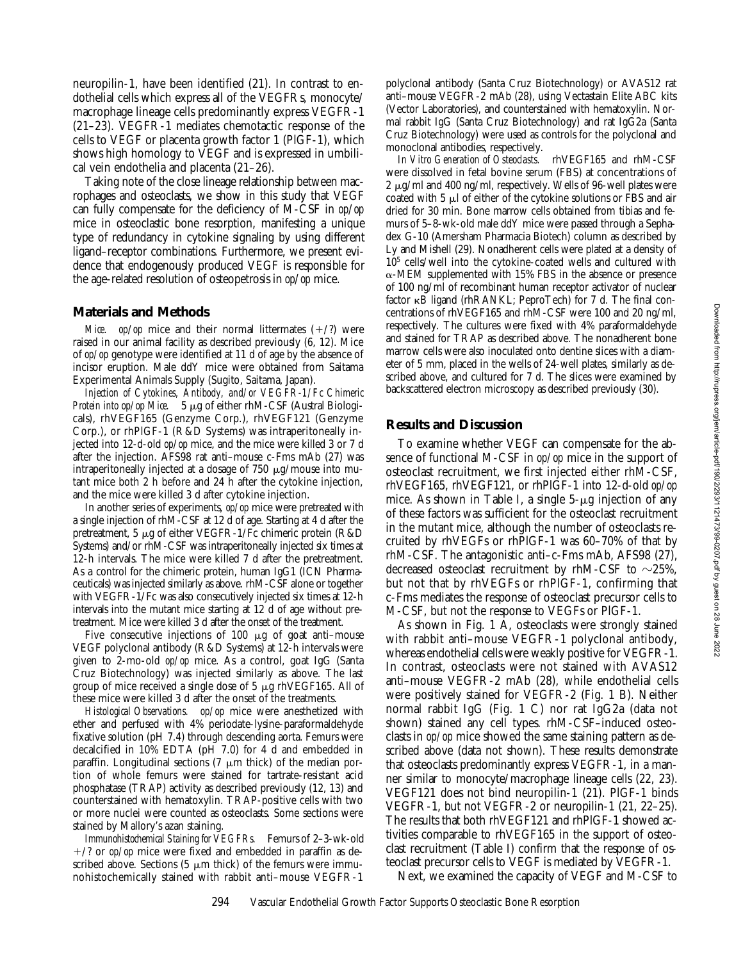neuropilin-1, have been identified (21). In contrast to endothelial cells which express all of the VEGFRs, monocyte/ macrophage lineage cells predominantly express VEGFR-1 (21–23). VEGFR-1 mediates chemotactic response of the cells to VEGF or placenta growth factor 1 (PlGF-1), which shows high homology to VEGF and is expressed in umbilical vein endothelia and placenta (21–26).

Taking note of the close lineage relationship between macrophages and osteoclasts, we show in this study that VEGF can fully compensate for the deficiency of M-CSF in *op*/*op* mice in osteoclastic bone resorption, manifesting a unique type of redundancy in cytokine signaling by using different ligand–receptor combinations. Furthermore, we present evidence that endogenously produced VEGF is responsible for the age-related resolution of osteopetrosis in *op*/*op* mice.

### **Materials and Methods**

*Mice. op/op* mice and their normal littermates  $(+/?)$  were raised in our animal facility as described previously (6, 12). Mice of *op/op* genotype were identified at 11 d of age by the absence of incisor eruption. Male ddY mice were obtained from Saitama Experimental Animals Supply (Sugito, Saitama, Japan).

*Injection of Cytokines, Antibody, and/or VEGFR-1/Fc Chimeric Protein into op/op Mice.* 5 μg of either rhM-CSF (Austral Biologicals), rhVEGF165 (Genzyme Corp.), rhVEGF121 (Genzyme Corp.), or rhPlGF-1 (R&D Systems) was intraperitoneally injected into 12-d-old *op*/*op* mice, and the mice were killed 3 or 7 d after the injection. AFS98 rat anti–mouse c-Fms mAb (27) was intraperitoneally injected at a dosage of 750  $\mu$ g/mouse into mutant mice both 2 h before and 24 h after the cytokine injection, and the mice were killed 3 d after cytokine injection.

In another series of experiments, *op/op* mice were pretreated with a single injection of rhM-CSF at 12 d of age. Starting at 4 d after the pretreatment, 5 mg of either VEGFR-1/Fc chimeric protein (R&D Systems) and/or rhM-CSF was intraperitoneally injected six times at 12-h intervals. The mice were killed 7 d after the pretreatment. As a control for the chimeric protein, human IgG1 (ICN Pharmaceuticals) was injected similarly as above. rhM-CSF alone or together with VEGFR-1/Fc was also consecutively injected six times at 12-h intervals into the mutant mice starting at 12 d of age without pretreatment. Mice were killed 3 d after the onset of the treatment.

Five consecutive injections of  $100 \mu g$  of goat anti-mouse VEGF polyclonal antibody (R&D Systems) at 12-h intervals were given to 2-mo-old *op/op* mice. As a control, goat IgG (Santa Cruz Biotechnology) was injected similarly as above. The last group of mice received a single dose of 5 mg rhVEGF165. All of these mice were killed 3 d after the onset of the treatments.

*Histological Observations. op/op* mice were anesthetized with ether and perfused with 4% periodate-lysine-paraformaldehyde fixative solution (pH 7.4) through descending aorta. Femurs were decalcified in 10% EDTA (pH 7.0) for 4 d and embedded in paraffin. Longitudinal sections (7  $\mu$ m thick) of the median portion of whole femurs were stained for tartrate-resistant acid phosphatase (TRAP) activity as described previously (12, 13) and counterstained with hematoxylin. TRAP-positive cells with two or more nuclei were counted as osteoclasts. Some sections were stained by Mallory's azan staining.

*Immunohistochemical Staining for VEGFRs.* Femurs of 2–3-wk-old  $+/$ ? or *op/op* mice were fixed and embedded in paraffin as described above. Sections  $(5 \mu m)$  thick) of the femurs were immunohistochemically stained with rabbit anti–mouse VEGFR-1

polyclonal antibody (Santa Cruz Biotechnology) or AVAS12 rat anti–mouse VEGFR-2 mAb (28), using Vectastain Elite ABC kits (Vector Laboratories), and counterstained with hematoxylin. Normal rabbit IgG (Santa Cruz Biotechnology) and rat IgG2a (Santa Cruz Biotechnology) were used as controls for the polyclonal and monoclonal antibodies, respectively.

*In Vitro Generation of Osteoclasts.* rhVEGF165 and rhM-CSF were dissolved in fetal bovine serum (FBS) at concentrations of 2  $\mu$ g/ml and 400 ng/ml, respectively. Wells of 96-well plates were coated with  $5 \mu$  of either of the cytokine solutions or FBS and air dried for 30 min. Bone marrow cells obtained from tibias and femurs of 5–8-wk-old male ddY mice were passed through a Sephadex G-10 (Amersham Pharmacia Biotech) column as described by Ly and Mishell (29). Nonadherent cells were plated at a density of 105 cells/well into the cytokine-coated wells and cultured with  $\alpha$ -MEM supplemented with 15% FBS in the absence or presence of 100 ng/ml of recombinant human receptor activator of nuclear factor kB ligand (rhRANKL; PeproTech) for 7 d. The final concentrations of rhVEGF165 and rhM-CSF were 100 and 20 ng/ml, respectively. The cultures were fixed with 4% paraformaldehyde and stained for TRAP as described above. The nonadherent bone marrow cells were also inoculated onto dentine slices with a diameter of 5 mm, placed in the wells of 24-well plates, similarly as described above, and cultured for 7 d. The slices were examined by backscattered electron microscopy as described previously (30).

#### **Results and Discussion**

To examine whether VEGF can compensate for the absence of functional M-CSF in *op/op* mice in the support of osteoclast recruitment, we first injected either rhM-CSF, rhVEGF165, rhVEGF121, or rhPlGF-1 into 12-d-old *op/op* mice. As shown in Table I, a single  $5-\mu g$  injection of any of these factors was sufficient for the osteoclast recruitment in the mutant mice, although the number of osteoclasts recruited by rhVEGFs or rhPlGF-1 was 60–70% of that by rhM-CSF. The antagonistic anti–c-Fms mAb, AFS98 (27), decreased osteoclast recruitment by rhM-CSF to  $\sim$ 25%, but not that by rhVEGFs or rhPlGF-1, confirming that c-Fms mediates the response of osteoclast precursor cells to M-CSF, but not the response to VEGFs or PlGF-1.

As shown in Fig. 1 A, osteoclasts were strongly stained with rabbit anti–mouse VEGFR-1 polyclonal antibody, whereas endothelial cells were weakly positive for VEGFR-1. In contrast, osteoclasts were not stained with AVAS12 anti–mouse VEGFR-2 mAb (28), while endothelial cells were positively stained for VEGFR-2 (Fig. 1 B). Neither normal rabbit IgG (Fig. 1 C) nor rat IgG2a (data not shown) stained any cell types. rhM-CSF–induced osteoclasts in *op/op* mice showed the same staining pattern as described above (data not shown). These results demonstrate that osteoclasts predominantly express VEGFR-1, in a manner similar to monocyte/macrophage lineage cells (22, 23). VEGF121 does not bind neuropilin-1 (21). PlGF-1 binds VEGFR-1, but not VEGFR-2 or neuropilin-1 (21, 22–25). The results that both rhVEGF121 and rhPlGF-1 showed activities comparable to rhVEGF165 in the support of osteoclast recruitment (Table I) confirm that the response of osteoclast precursor cells to VEGF is mediated by VEGFR-1.

Next, we examined the capacity of VEGF and M-CSF to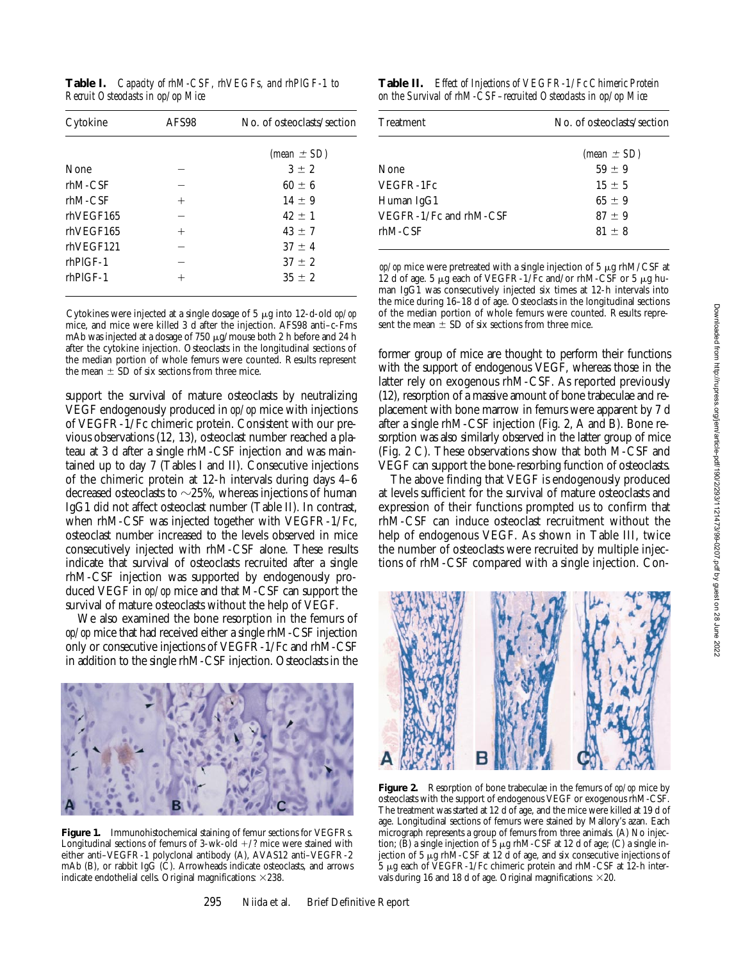| Cytokine         | AFS98 | No. of osteoclasts/section |  |
|------------------|-------|----------------------------|--|
|                  |       | (mean $\pm$ SD)            |  |
| None             |       | $3 \pm 2$                  |  |
| $r$ hM-CSF       |       | $60 \pm 6$                 |  |
| $r$ hM-CSF       | $^+$  | $14 \pm 9$                 |  |
| rhVEGF165        |       | $42 + 1$                   |  |
| rhVEGF165        | $^+$  | $43 \pm 7$                 |  |
| rhVEGF121        |       | $37 \pm 4$                 |  |
| $rh$ $Pl$ $GF-1$ |       | $37 \pm 2$                 |  |
| $rhPIGF-1$       |       | $35 \pm 2$                 |  |
|                  |       |                            |  |

Cytokines were injected at a single dosage of 5 µg into 12-d-old *op/op* mice, and mice were killed 3 d after the injection. AFS98 anti–c-Fms mAb was injected at a dosage of  $750 \mu g/m$ ouse both 2 h before and 24 h after the cytokine injection. Osteoclasts in the longitudinal sections of the median portion of whole femurs were counted. Results represent the mean  $\pm$  SD of six sections from three mice.

support the survival of mature osteoclasts by neutralizing VEGF endogenously produced in *op/op* mice with injections of VEGFR-1/Fc chimeric protein. Consistent with our previous observations (12, 13), osteoclast number reached a plateau at 3 d after a single rhM-CSF injection and was maintained up to day 7 (Tables I and II). Consecutive injections of the chimeric protein at 12-h intervals during days 4–6 decreased osteoclasts to  $\sim$ 25%, whereas injections of human IgG1 did not affect osteoclast number (Table II). In contrast, when rhM-CSF was injected together with VEGFR-1/Fc, osteoclast number increased to the levels observed in mice consecutively injected with rhM-CSF alone. These results indicate that survival of osteoclasts recruited after a single rhM-CSF injection was supported by endogenously produced VEGF in *op/op* mice and that M-CSF can support the survival of mature osteoclasts without the help of VEGF.

We also examined the bone resorption in the femurs of *op/op* mice that had received either a single rhM-CSF injection only or consecutive injections of VEGFR-1/Fc and rhM-CSF in addition to the single rhM-CSF injection. Osteoclasts in the



**Figure 1.** Immunohistochemical staining of femur sections for VEGFRs. Longitudinal sections of femurs of 3-wk-old  $+/$ ? mice were stained with either anti–VEGFR-1 polyclonal antibody (A), AVAS12 anti–VEGFR-2 mAb (B), or rabbit IgG (C). Arrowheads indicate osteoclasts, and arrows indicate endothelial cells. Original magnifications:  $\times$ 238.

**Table II.** *Effect of Injections of VEGFR-1/Fc Chimeric Protein on the Survival of rhM-CSF–recruited Osteoclasts in op/op Mice*

| (mean $\pm$ SD) |
|-----------------|
| $59 \pm 9$      |
| $15 \pm 5$      |
| $65 + 9$        |
| $87 + 9$        |
| $81 + 8$        |
|                 |

 $op$ /op mice were pretreated with a single injection of 5  $\mu$ g rhM/CSF at 12 d of age. 5  $\mu$ g each of VEGFR-1/Fc and/or rhM-CSF or 5  $\mu$ g human IgG1 was consecutively injected six times at 12-h intervals into the mice during 16–18 d of age. Osteoclasts in the longitudinal sections of the median portion of whole femurs were counted. Results represent the mean  $\pm$  SD of six sections from three mice.

former group of mice are thought to perform their functions with the support of endogenous VEGF, whereas those in the latter rely on exogenous rhM-CSF. As reported previously (12), resorption of a massive amount of bone trabeculae and replacement with bone marrow in femurs were apparent by 7 d after a single rhM-CSF injection (Fig. 2, A and B). Bone resorption was also similarly observed in the latter group of mice (Fig. 2 C). These observations show that both M-CSF and VEGF can support the bone-resorbing function of osteoclasts.

The above finding that VEGF is endogenously produced at levels sufficient for the survival of mature osteoclasts and expression of their functions prompted us to confirm that rhM-CSF can induce osteoclast recruitment without the help of endogenous VEGF. As shown in Table III, twice the number of osteoclasts were recruited by multiple injections of rhM-CSF compared with a single injection. Con-



**Figure 2.** Resorption of bone trabeculae in the femurs of *op/op* mice by osteoclasts with the support of endogenous VEGF or exogenous rhM-CSF. The treatment was started at 12 d of age, and the mice were killed at 19 d of age. Longitudinal sections of femurs were stained by Mallory's azan. Each micrograph represents a group of femurs from three animals. (A) No injection;  $(B)$  a single injection of  $5 \mu g$  rhM-CSF at 12 d of age; (C) a single injection of 5 mg rhM-CSF at 12 d of age, and six consecutive injections of  $5 \mu$ g each of VEGFR-1/Fc chimeric protein and rhM-CSF at 12-h intervals during 16 and 18 d of age. Original magnifications:  $\times$  20.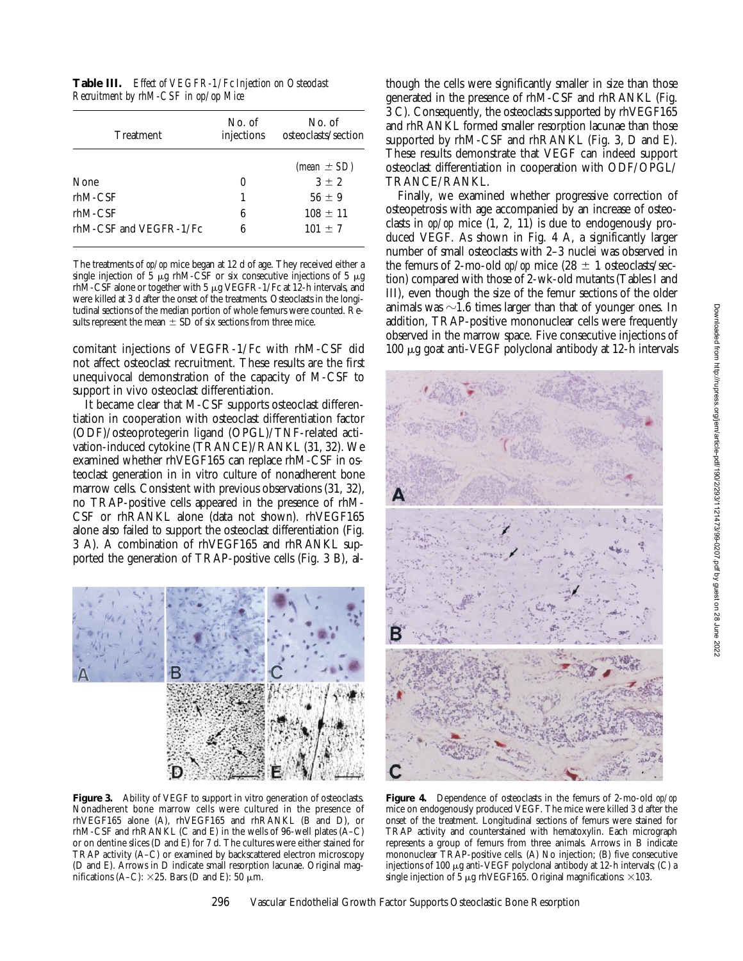| <b>Treatment</b>       | No. of<br>injections | No. of<br>osteoclasts/section |
|------------------------|----------------------|-------------------------------|
|                        |                      | (mean $\pm$ SD)               |
| None                   | $\mathbf{0}$         | $3 \pm 2$                     |
| $rhM$ -CSF             | 1                    | $56 \pm 9$                    |
| $rhM$ -CSF             | 6                    | $108 \pm 11$                  |
| rhM-CSF and VEGFR-1/Fc | 6                    | $101 \pm 7$                   |

The treatments of *op/op* mice began at 12 d of age. They received either a single injection of  $\frac{2}{5}$   $\mu$ g rhM-CSF or six consecutive injections of  $5 \mu$ g rhM-CSF alone or together with 5  $\mu$ g VEGFR-1/Fc at 12-h intervals, and were killed at 3 d after the onset of the treatments. Osteoclasts in the longitudinal sections of the median portion of whole femurs were counted. Results represent the mean  $\pm$  SD of six sections from three mice.

comitant injections of VEGFR-1/Fc with rhM-CSF did not affect osteoclast recruitment. These results are the first unequivocal demonstration of the capacity of M-CSF to support in vivo osteoclast differentiation.

It became clear that M-CSF supports osteoclast differentiation in cooperation with osteoclast differentiation factor (ODF)/osteoprotegerin ligand (OPGL)/TNF-related activation-induced cytokine (TRANCE)/RANKL (31, 32). We examined whether rhVEGF165 can replace rhM-CSF in osteoclast generation in in vitro culture of nonadherent bone marrow cells. Consistent with previous observations (31, 32), no TRAP-positive cells appeared in the presence of rhM-CSF or rhRANKL alone (data not shown). rhVEGF165 alone also failed to support the osteoclast differentiation (Fig. 3 A). A combination of rhVEGF165 and rhRANKL supported the generation of TRAP-positive cells (Fig. 3 B), al-



Figure 3. Ability of VEGF to support in vitro generation of osteoclasts. Nonadherent bone marrow cells were cultured in the presence of rhVEGF165 alone (A), rhVEGF165 and rhRANKL (B and D), or rhM-CSF and rhRANKL (C and E) in the wells of 96-well plates (A–C) or on dentine slices (D and E) for 7 d. The cultures were either stained for TRAP activity (A–C) or examined by backscattered electron microscopy (D and E). Arrows in D indicate small resorption lacunae. Original magnifications (A–C):  $\times$ 25. Bars (D and E): 50 µm.

though the cells were significantly smaller in size than those generated in the presence of rhM-CSF and rhRANKL (Fig. 3 C). Consequently, the osteoclasts supported by rhVEGF165 and rhRANKL formed smaller resorption lacunae than those supported by rhM-CSF and rhRANKL (Fig. 3, D and E). These results demonstrate that VEGF can indeed support osteoclast differentiation in cooperation with ODF/OPGL/ TRANCE/RANKL.

Finally, we examined whether progressive correction of osteopetrosis with age accompanied by an increase of osteoclasts in *op/op* mice (1, 2, 11) is due to endogenously produced VEGF. As shown in Fig. 4 A, a significantly larger number of small osteoclasts with 2–3 nuclei was observed in the femurs of 2-mo-old  $op/op$  mice (28  $\pm$  1 osteoclasts/section) compared with those of 2-wk-old mutants (Tables I and III), even though the size of the femur sections of the older animals was  $\sim$ 1.6 times larger than that of younger ones. In addition, TRAP-positive mononuclear cells were frequently observed in the marrow space. Five consecutive injections of 100 mg goat anti-VEGF polyclonal antibody at 12-h intervals



**Figure 4.** Dependence of osteoclasts in the femurs of 2-mo-old *op/op* mice on endogenously produced VEGF. The mice were killed 3 d after the onset of the treatment. Longitudinal sections of femurs were stained for TRAP activity and counterstained with hematoxylin. Each micrograph represents a group of femurs from three animals. Arrows in B indicate mononuclear TRAP-positive cells. (A) No injection; (B) five consecutive injections of 100  $\mu$ g anti-VEGF polyclonal antibody at 12-h intervals; (C) a single injection of 5  $\mu$ g rhVEGF165. Original magnifications:  $\times$ 103.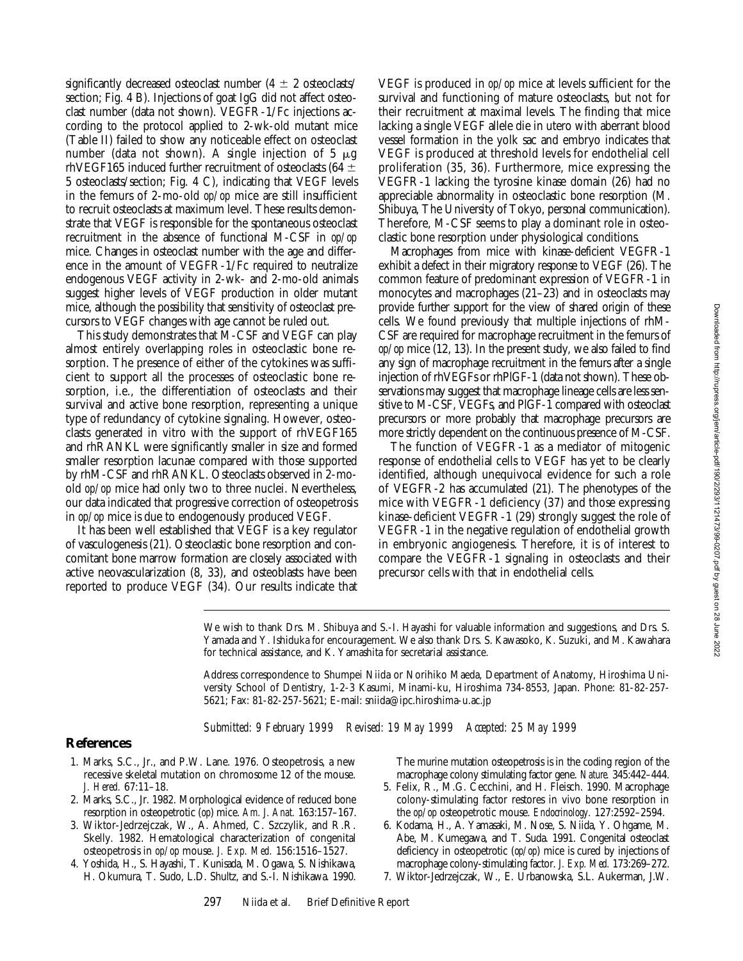significantly decreased osteoclast number ( $4 \pm 2$  osteoclasts/ section; Fig. 4 B). Injections of goat IgG did not affect osteoclast number (data not shown). VEGFR-1/Fc injections according to the protocol applied to 2-wk-old mutant mice (Table II) failed to show any noticeable effect on osteoclast number (data not shown). A single injection of 5  $\mu$ g rhVEGF165 induced further recruitment of osteoclasts (64  $\pm$ 5 osteoclasts/section; Fig. 4 C), indicating that VEGF levels in the femurs of 2-mo-old *op/op* mice are still insufficient to recruit osteoclasts at maximum level. These results demonstrate that VEGF is responsible for the spontaneous osteoclast recruitment in the absence of functional M-CSF in *op/op* mice. Changes in osteoclast number with the age and difference in the amount of VEGFR-1/Fc required to neutralize endogenous VEGF activity in 2-wk- and 2-mo-old animals suggest higher levels of VEGF production in older mutant mice, although the possibility that sensitivity of osteoclast precursors to VEGF changes with age cannot be ruled out.

This study demonstrates that M-CSF and VEGF can play almost entirely overlapping roles in osteoclastic bone resorption. The presence of either of the cytokines was sufficient to support all the processes of osteoclastic bone resorption, i.e., the differentiation of osteoclasts and their survival and active bone resorption, representing a unique type of redundancy of cytokine signaling. However, osteoclasts generated in vitro with the support of rhVEGF165 and rhRANKL were significantly smaller in size and formed smaller resorption lacunae compared with those supported by rhM-CSF and rhRANKL. Osteoclasts observed in 2-moold *op/op* mice had only two to three nuclei. Nevertheless, our data indicated that progressive correction of osteopetrosis in *op/op* mice is due to endogenously produced VEGF.

It has been well established that VEGF is a key regulator of vasculogenesis (21). Osteoclastic bone resorption and concomitant bone marrow formation are closely associated with active neovascularization (8, 33), and osteoblasts have been reported to produce VEGF (34). Our results indicate that

VEGF is produced in *op/op* mice at levels sufficient for the survival and functioning of mature osteoclasts, but not for their recruitment at maximal levels. The finding that mice lacking a single VEGF allele die in utero with aberrant blood vessel formation in the yolk sac and embryo indicates that VEGF is produced at threshold levels for endothelial cell proliferation (35, 36). Furthermore, mice expressing the VEGFR-1 lacking the tyrosine kinase domain (26) had no appreciable abnormality in osteoclastic bone resorption (M. Shibuya, The University of Tokyo, personal communication). Therefore, M-CSF seems to play a dominant role in osteoclastic bone resorption under physiological conditions.

Macrophages from mice with kinase-deficient VEGFR-1 exhibit a defect in their migratory response to VEGF (26). The common feature of predominant expression of VEGFR-1 in monocytes and macrophages (21–23) and in osteoclasts may provide further support for the view of shared origin of these cells. We found previously that multiple injections of rhM-CSF are required for macrophage recruitment in the femurs of *op/op* mice (12, 13). In the present study, we also failed to find any sign of macrophage recruitment in the femurs after a single injection of rhVEGFs or rhPlGF-1 (data not shown). These observations may suggest that macrophage lineage cells are less sensitive to M-CSF, VEGFs, and PlGF-1 compared with osteoclast precursors or more probably that macrophage precursors are more strictly dependent on the continuous presence of M-CSF.

The function of VEGFR-1 as a mediator of mitogenic response of endothelial cells to VEGF has yet to be clearly identified, although unequivocal evidence for such a role of VEGFR-2 has accumulated (21). The phenotypes of the mice with VEGFR-1 deficiency (37) and those expressing kinase-deficient VEGFR-1 (29) strongly suggest the role of VEGFR-1 in the negative regulation of endothelial growth in embryonic angiogenesis. Therefore, it is of interest to compare the VEGFR-1 signaling in osteoclasts and their precursor cells with that in endothelial cells.

We wish to thank Drs. M. Shibuya and S.-I. Hayashi for valuable information and suggestions, and Drs. S. Yamada and Y. Ishiduka for encouragement. We also thank Drs. S. Kawasoko, K. Suzuki, and M. Kawahara for technical assistance, and K. Yamashita for secretarial assistance.

Address correspondence to Shumpei Niida or Norihiko Maeda, Department of Anatomy, Hiroshima University School of Dentistry, 1-2-3 Kasumi, Minami-ku, Hiroshima 734-8553, Japan. Phone: 81-82-257- 5621; Fax: 81-82-257-5621; E-mail: sniida@ipc.hiroshima-u.ac.jp

*Submitted: 9 February 1999 Revised: 19 May 1999 Accepted: 25 May 1999*

## **References**

- 1. Marks, S.C., Jr., and P.W. Lane. 1976. Osteopetrosis, a new recessive skeletal mutation on chromosome 12 of the mouse. *J. Hered.* 67:11–18.
- 2. Marks, S.C., Jr. 1982. Morphological evidence of reduced bone resorption in osteopetrotic (*op*) mice. *Am. J. Anat.* 163:157–167.
- 3. Wiktor-Jedrzejczak, W., A. Ahmed, C. Szczylik, and R.R. Skelly. 1982. Hematological characterization of congenital osteopetrosis in *op/op* mouse. *J. Exp. Med.* 156:1516–1527.
- 4. Yoshida, H., S. Hayashi, T. Kunisada, M. Ogawa, S. Nishikawa, H. Okumura, T. Sudo, L.D. Shultz, and S.-I. Nishikawa. 1990.

The murine mutation osteopetrosis is in the coding region of the macrophage colony stimulating factor gene. *Nature.* 345:442–444.

- 5. Felix, R., M.G. Cecchini, and H. Fleisch. 1990. Macrophage colony-stimulating factor restores in vivo bone resorption in the *op/op* osteopetrotic mouse. *Endocrinology.* 127:2592–2594.
- 6. Kodama, H., A. Yamasaki, M. Nose, S. Niida, Y. Ohgame, M. Abe, M. Kumegawa, and T. Suda. 1991. Congenital osteoclast deficiency in osteopetrotic (*op/op*) mice is cured by injections of macrophage colony-stimulating factor. *J. Exp. Med.* 173:269–272.
- 7. Wiktor-Jedrzejczak, W., E. Urbanowska, S.L. Aukerman, J.W.